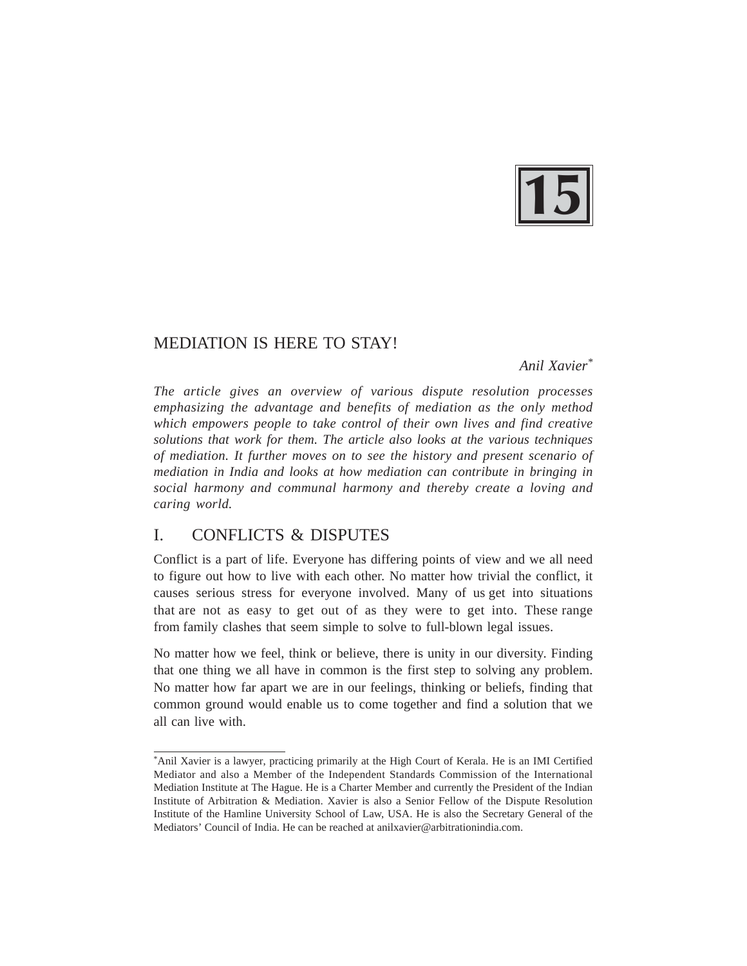

# MEDIATION IS HERE TO STAY!

*Anil Xavier\**

*The article gives an overview of various dispute resolution processes emphasizing the advantage and benefits of mediation as the only method which empowers people to take control of their own lives and find creative solutions that work for them. The article also looks at the various techniques of mediation. It further moves on to see the history and present scenario of mediation in India and looks at how mediation can contribute in bringing in social harmony and communal harmony and thereby create a loving and caring world.*

# I. CONFLICTS & DISPUTES

Conflict is a part of life. Everyone has differing points of view and we all need to figure out how to live with each other. No matter how trivial the conflict, it causes serious stress for everyone involved. Many of us get into situations that are not as easy to get out of as they were to get into. These range from family clashes that seem simple to solve to full-blown legal issues.

No matter how we feel, think or believe, there is unity in our diversity. Finding that one thing we all have in common is the first step to solving any problem. No matter how far apart we are in our feelings, thinking or beliefs, finding that common ground would enable us to come together and find a solution that we all can live with.

<sup>\*</sup>Anil Xavier is a lawyer, practicing primarily at the High Court of Kerala. He is an IMI Certified Mediator and also a Member of the Independent Standards Commission of the International Mediation Institute at The Hague. He is a Charter Member and currently the President of the Indian Institute of Arbitration & Mediation. Xavier is also a Senior Fellow of the Dispute Resolution Institute of the Hamline University School of Law, USA. He is also the Secretary General of the Mediators' Council of India. He can be reached at anilxavier@arbitrationindia.com.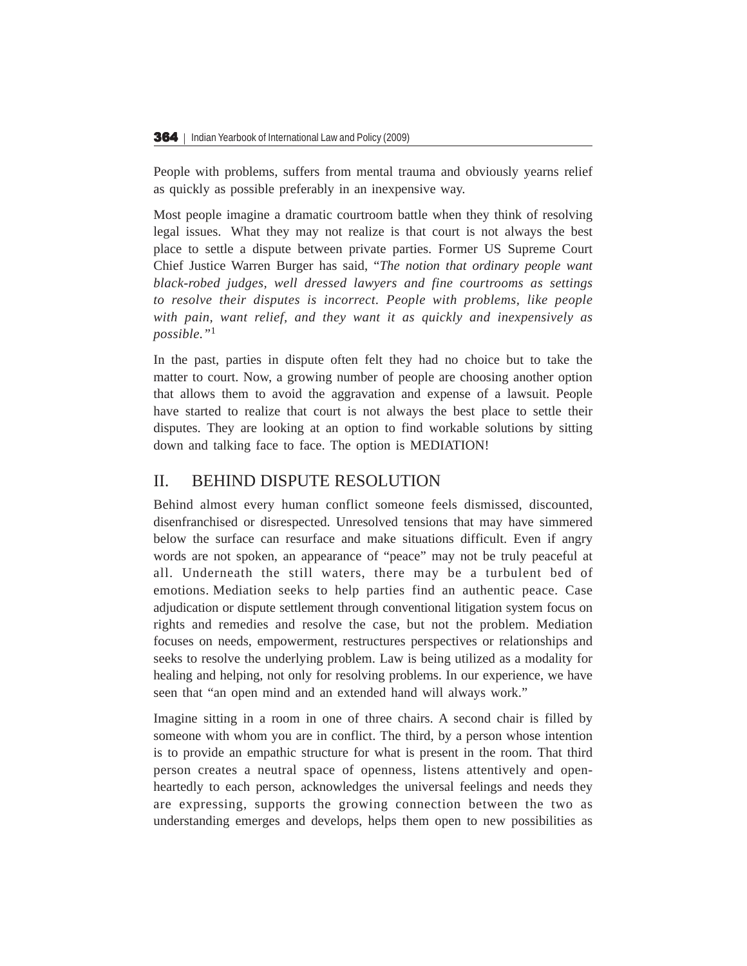People with problems, suffers from mental trauma and obviously yearns relief as quickly as possible preferably in an inexpensive way.

Most people imagine a dramatic courtroom battle when they think of resolving legal issues. What they may not realize is that court is not always the best place to settle a dispute between private parties. Former US Supreme Court Chief Justice Warren Burger has said, "*The notion that ordinary people want black-robed judges, well dressed lawyers and fine courtrooms as settings to resolve their disputes is incorrect. People with problems, like people with pain, want relief, and they want it as quickly and inexpensively as possible."*<sup>1</sup>

In the past, parties in dispute often felt they had no choice but to take the matter to court. Now, a growing number of people are choosing another option that allows them to avoid the aggravation and expense of a lawsuit. People have started to realize that court is not always the best place to settle their disputes. They are looking at an option to find workable solutions by sitting down and talking face to face. The option is MEDIATION!

## II. BEHIND DISPUTE RESOLUTION

Behind almost every human conflict someone feels dismissed, discounted, disenfranchised or disrespected. Unresolved tensions that may have simmered below the surface can resurface and make situations difficult. Even if angry words are not spoken, an appearance of "peace" may not be truly peaceful at all. Underneath the still waters, there may be a turbulent bed of emotions. Mediation seeks to help parties find an authentic peace. Case adjudication or dispute settlement through conventional litigation system focus on rights and remedies and resolve the case, but not the problem. Mediation focuses on needs, empowerment, restructures perspectives or relationships and seeks to resolve the underlying problem. Law is being utilized as a modality for healing and helping, not only for resolving problems. In our experience, we have seen that "an open mind and an extended hand will always work."

Imagine sitting in a room in one of three chairs. A second chair is filled by someone with whom you are in conflict. The third, by a person whose intention is to provide an empathic structure for what is present in the room. That third person creates a neutral space of openness, listens attentively and openheartedly to each person, acknowledges the universal feelings and needs they are expressing, supports the growing connection between the two as understanding emerges and develops, helps them open to new possibilities as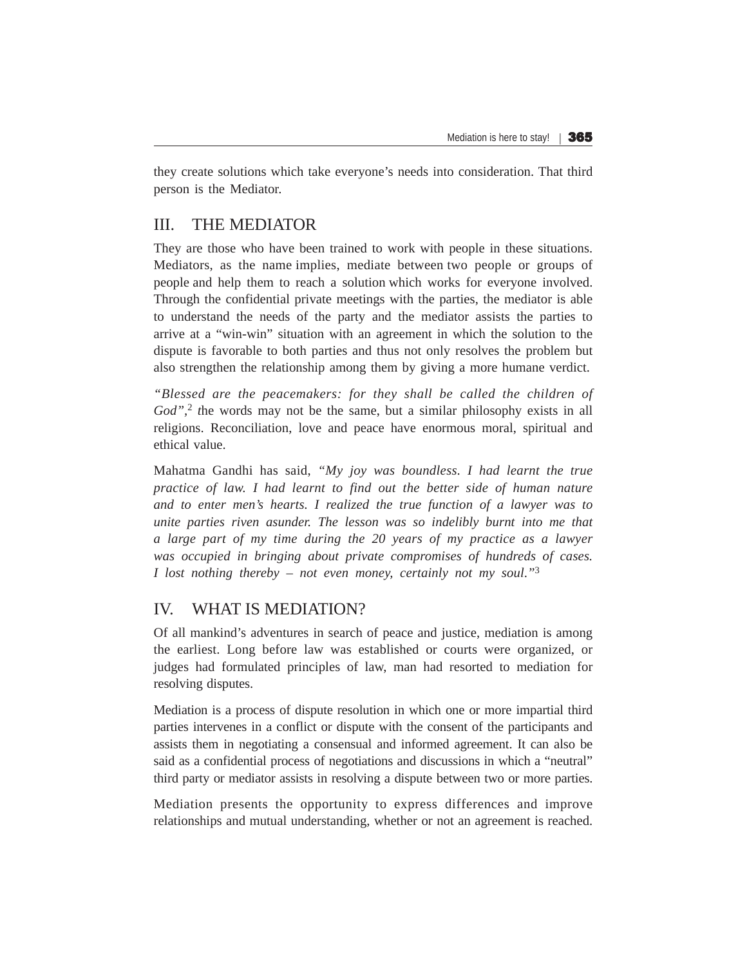they create solutions which take everyone's needs into consideration. That third person is the Mediator.

### III. THE MEDIATOR

They are those who have been trained to work with people in these situations. Mediators, as the name implies, mediate between two people or groups of people and help them to reach a solution which works for everyone involved. Through the confidential private meetings with the parties, the mediator is able to understand the needs of the party and the mediator assists the parties to arrive at a "win-win" situation with an agreement in which the solution to the dispute is favorable to both parties and thus not only resolves the problem but also strengthen the relationship among them by giving a more humane verdict.

*"Blessed are the peacemakers: for they shall be called the children of God",*<sup>2</sup> *t*he words may not be the same, but a similar philosophy exists in all religions. Reconciliation, love and peace have enormous moral, spiritual and ethical value.

Mahatma Gandhi has said, *"My joy was boundless. I had learnt the true practice of law. I had learnt to find out the better side of human nature and to enter men's hearts. I realized the true function of a lawyer was to unite parties riven asunder. The lesson was so indelibly burnt into me that a large part of my time during the 20 years of my practice as a lawyer was occupied in bringing about private compromises of hundreds of cases. I lost nothing thereby – not even money, certainly not my soul*.*"*<sup>3</sup>

## IV. WHAT IS MEDIATION?

Of all mankind's adventures in search of peace and justice, mediation is among the earliest. Long before law was established or courts were organized, or judges had formulated principles of law, man had resorted to mediation for resolving disputes.

Mediation is a process of dispute resolution in which one or more impartial third parties intervenes in a conflict or dispute with the consent of the participants and assists them in negotiating a consensual and informed agreement. It can also be said as a confidential process of negotiations and discussions in which a "neutral" third party or mediator assists in resolving a dispute between two or more parties.

Mediation presents the opportunity to express differences and improve relationships and mutual understanding, whether or not an agreement is reached.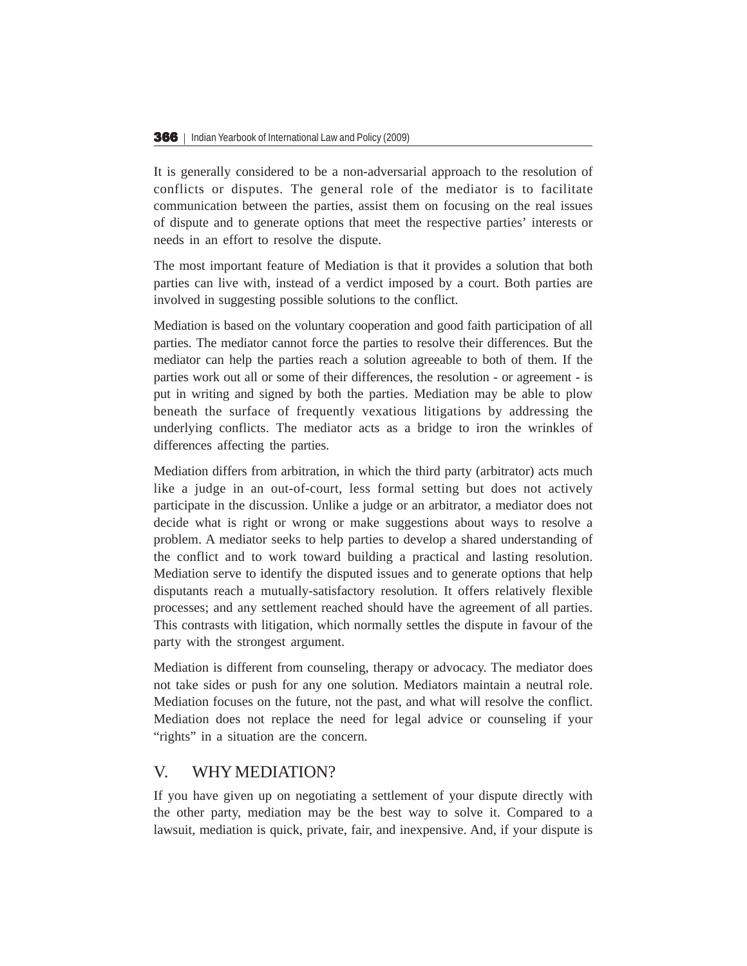It is generally considered to be a non-adversarial approach to the resolution of conflicts or disputes. The general role of the mediator is to facilitate communication between the parties, assist them on focusing on the real issues of dispute and to generate options that meet the respective parties' interests or needs in an effort to resolve the dispute.

The most important feature of Mediation is that it provides a solution that both parties can live with, instead of a verdict imposed by a court. Both parties are involved in suggesting possible solutions to the conflict.

Mediation is based on the voluntary cooperation and good faith participation of all parties. The mediator cannot force the parties to resolve their differences. But the mediator can help the parties reach a solution agreeable to both of them. If the parties work out all or some of their differences, the resolution - or agreement - is put in writing and signed by both the parties. Mediation may be able to plow beneath the surface of frequently vexatious litigations by addressing the underlying conflicts. The mediator acts as a bridge to iron the wrinkles of differences affecting the parties.

Mediation differs from arbitration, in which the third party (arbitrator) acts much like a judge in an out-of-court, less formal setting but does not actively participate in the discussion. Unlike a judge or an arbitrator, a mediator does not decide what is right or wrong or make suggestions about ways to resolve a problem. A mediator seeks to help parties to develop a shared understanding of the conflict and to work toward building a practical and lasting resolution. Mediation serve to identify the disputed issues and to generate options that help disputants reach a mutually-satisfactory resolution. It offers relatively flexible processes; and any settlement reached should have the agreement of all parties. This contrasts with litigation, which normally settles the dispute in favour of the party with the strongest argument.

Mediation is different from counseling, therapy or advocacy. The mediator does not take sides or push for any one solution. Mediators maintain a neutral role. Mediation focuses on the future, not the past, and what will resolve the conflict. Mediation does not replace the need for legal advice or counseling if your "rights" in a situation are the concern.

### V. WHY MEDIATION?

If you have given up on negotiating a settlement of your dispute directly with the other party, mediation may be the best way to solve it. Compared to a lawsuit, mediation is quick, private, fair, and inexpensive. And, if your dispute is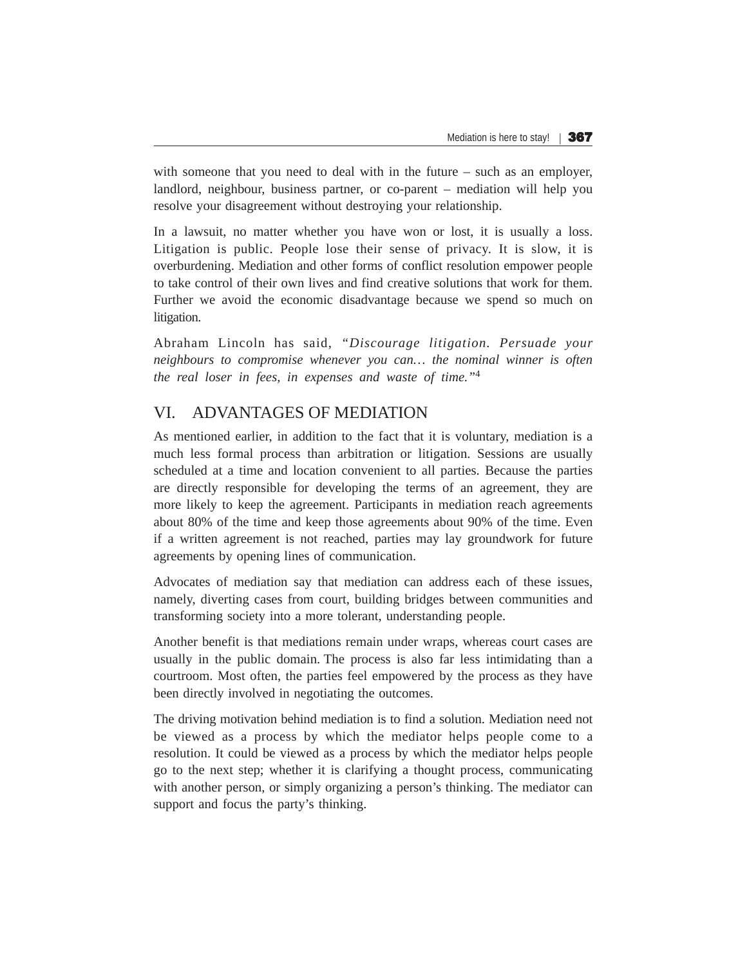with someone that you need to deal with in the future – such as an employer, landlord, neighbour, business partner, or co-parent – mediation will help you resolve your disagreement without destroying your relationship.

In a lawsuit, no matter whether you have won or lost, it is usually a loss. Litigation is public. People lose their sense of privacy. It is slow, it is overburdening. Mediation and other forms of conflict resolution empower people to take control of their own lives and find creative solutions that work for them. Further we avoid the economic disadvantage because we spend so much on litigation.

Abraham Lincoln has said, *"Discourage litigation. Persuade your neighbours to compromise whenever you can… the nominal winner is often the real loser in fees, in expenses and waste of time."*<sup>4</sup>

## VI. ADVANTAGES OF MEDIATION

As mentioned earlier, in addition to the fact that it is voluntary, mediation is a much less formal process than arbitration or litigation. Sessions are usually scheduled at a time and location convenient to all parties. Because the parties are directly responsible for developing the terms of an agreement, they are more likely to keep the agreement. Participants in mediation reach agreements about 80% of the time and keep those agreements about 90% of the time. Even if a written agreement is not reached, parties may lay groundwork for future agreements by opening lines of communication.

Advocates of mediation say that mediation can address each of these issues, namely, diverting cases from court, building bridges between communities and transforming society into a more tolerant, understanding people.

Another benefit is that mediations remain under wraps, whereas court cases are usually in the public domain. The process is also far less intimidating than a courtroom. Most often, the parties feel empowered by the process as they have been directly involved in negotiating the outcomes.

The driving motivation behind mediation is to find a solution. Mediation need not be viewed as a process by which the mediator helps people come to a resolution. It could be viewed as a process by which the mediator helps people go to the next step; whether it is clarifying a thought process, communicating with another person, or simply organizing a person's thinking. The mediator can support and focus the party's thinking.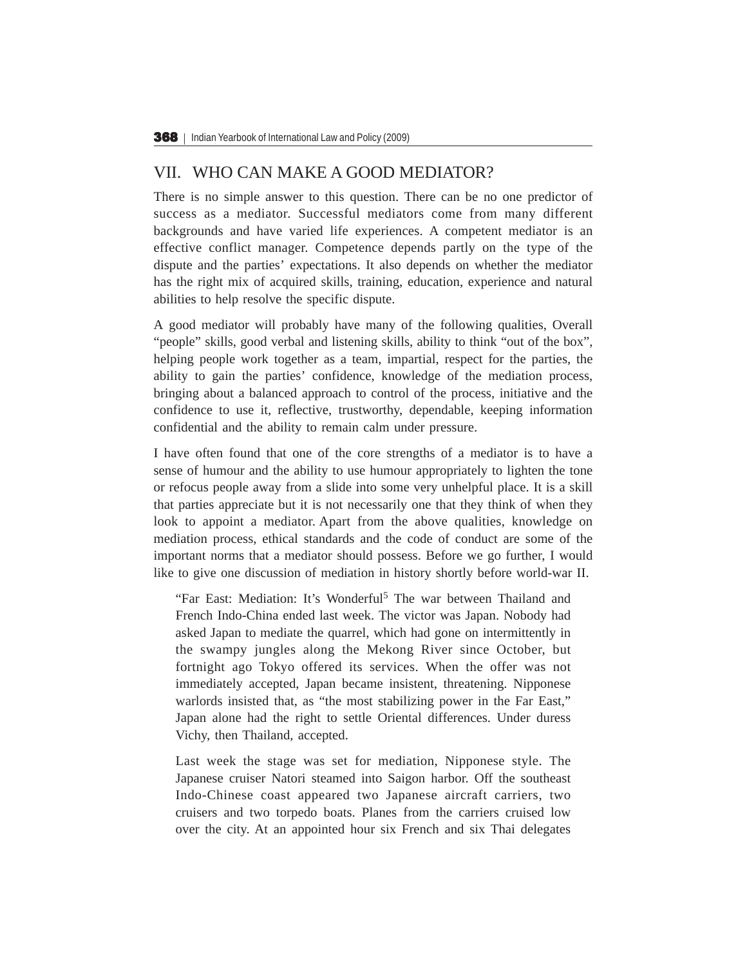#### VII. WHO CAN MAKE A GOOD MEDIATOR?

There is no simple answer to this question. There can be no one predictor of success as a mediator. Successful mediators come from many different backgrounds and have varied life experiences. A competent mediator is an effective conflict manager. Competence depends partly on the type of the dispute and the parties' expectations. It also depends on whether the mediator has the right mix of acquired skills, training, education, experience and natural abilities to help resolve the specific dispute.

A good mediator will probably have many of the following qualities, Overall "people" skills, good verbal and listening skills, ability to think "out of the box", helping people work together as a team, impartial, respect for the parties, the ability to gain the parties' confidence, knowledge of the mediation process, bringing about a balanced approach to control of the process, initiative and the confidence to use it, reflective, trustworthy, dependable, keeping information confidential and the ability to remain calm under pressure.

I have often found that one of the core strengths of a mediator is to have a sense of humour and the ability to use humour appropriately to lighten the tone or refocus people away from a slide into some very unhelpful place. It is a skill that parties appreciate but it is not necessarily one that they think of when they look to appoint a mediator. Apart from the above qualities, knowledge on mediation process, ethical standards and the code of conduct are some of the important norms that a mediator should possess. Before we go further, I would like to give one discussion of mediation in history shortly before world-war II.

"Far East: Mediation: It's Wonderful<sup>5</sup> The war between Thailand and French Indo-China ended last week. The victor was Japan. Nobody had asked Japan to mediate the quarrel, which had gone on intermittently in the swampy jungles along the Mekong River since October, but fortnight ago Tokyo offered its services. When the offer was not immediately accepted, Japan became insistent, threatening. Nipponese warlords insisted that, as "the most stabilizing power in the Far East," Japan alone had the right to settle Oriental differences. Under duress Vichy, then Thailand, accepted.

Last week the stage was set for mediation, Nipponese style. The Japanese cruiser Natori steamed into Saigon harbor. Off the southeast Indo-Chinese coast appeared two Japanese aircraft carriers, two cruisers and two torpedo boats. Planes from the carriers cruised low over the city. At an appointed hour six French and six Thai delegates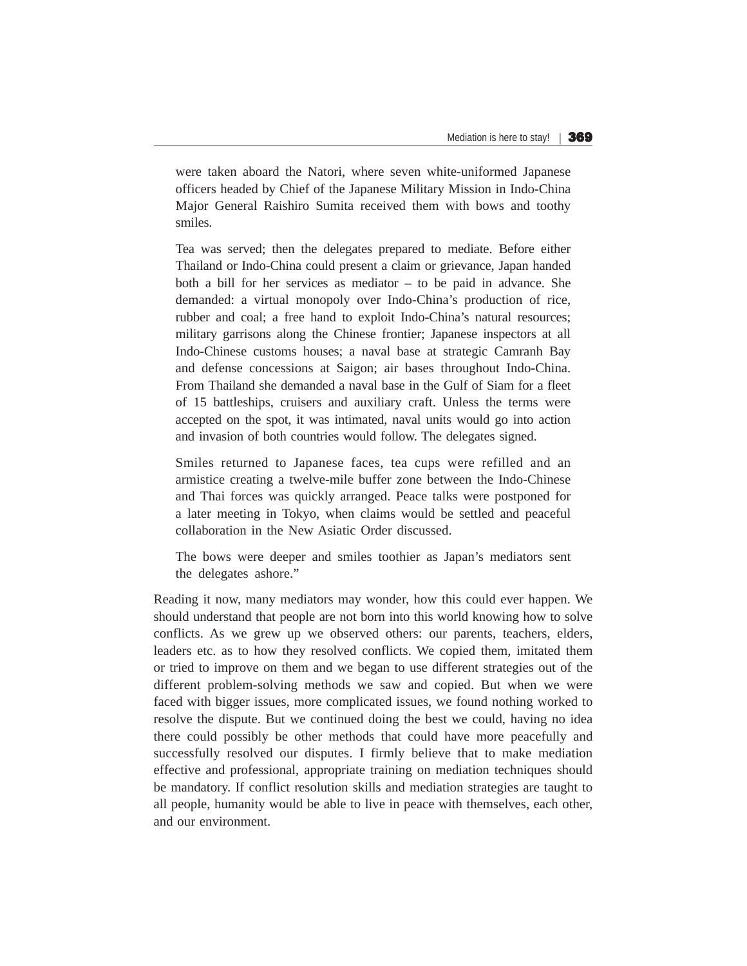were taken aboard the Natori, where seven white-uniformed Japanese officers headed by Chief of the Japanese Military Mission in Indo-China Major General Raishiro Sumita received them with bows and toothy smiles.

Tea was served; then the delegates prepared to mediate. Before either Thailand or Indo-China could present a claim or grievance, Japan handed both a bill for her services as mediator – to be paid in advance. She demanded: a virtual monopoly over Indo-China's production of rice, rubber and coal; a free hand to exploit Indo-China's natural resources; military garrisons along the Chinese frontier; Japanese inspectors at all Indo-Chinese customs houses; a naval base at strategic Camranh Bay and defense concessions at Saigon; air bases throughout Indo-China. From Thailand she demanded a naval base in the Gulf of Siam for a fleet of 15 battleships, cruisers and auxiliary craft. Unless the terms were accepted on the spot, it was intimated, naval units would go into action and invasion of both countries would follow. The delegates signed.

Smiles returned to Japanese faces, tea cups were refilled and an armistice creating a twelve-mile buffer zone between the Indo-Chinese and Thai forces was quickly arranged. Peace talks were postponed for a later meeting in Tokyo, when claims would be settled and peaceful collaboration in the New Asiatic Order discussed.

The bows were deeper and smiles toothier as Japan's mediators sent the delegates ashore."

Reading it now, many mediators may wonder, how this could ever happen. We should understand that people are not born into this world knowing how to solve conflicts. As we grew up we observed others: our parents, teachers, elders, leaders etc. as to how they resolved conflicts. We copied them, imitated them or tried to improve on them and we began to use different strategies out of the different problem-solving methods we saw and copied. But when we were faced with bigger issues, more complicated issues, we found nothing worked to resolve the dispute. But we continued doing the best we could, having no idea there could possibly be other methods that could have more peacefully and successfully resolved our disputes. I firmly believe that to make mediation effective and professional, appropriate training on mediation techniques should be mandatory. If conflict resolution skills and mediation strategies are taught to all people, humanity would be able to live in peace with themselves, each other, and our environment.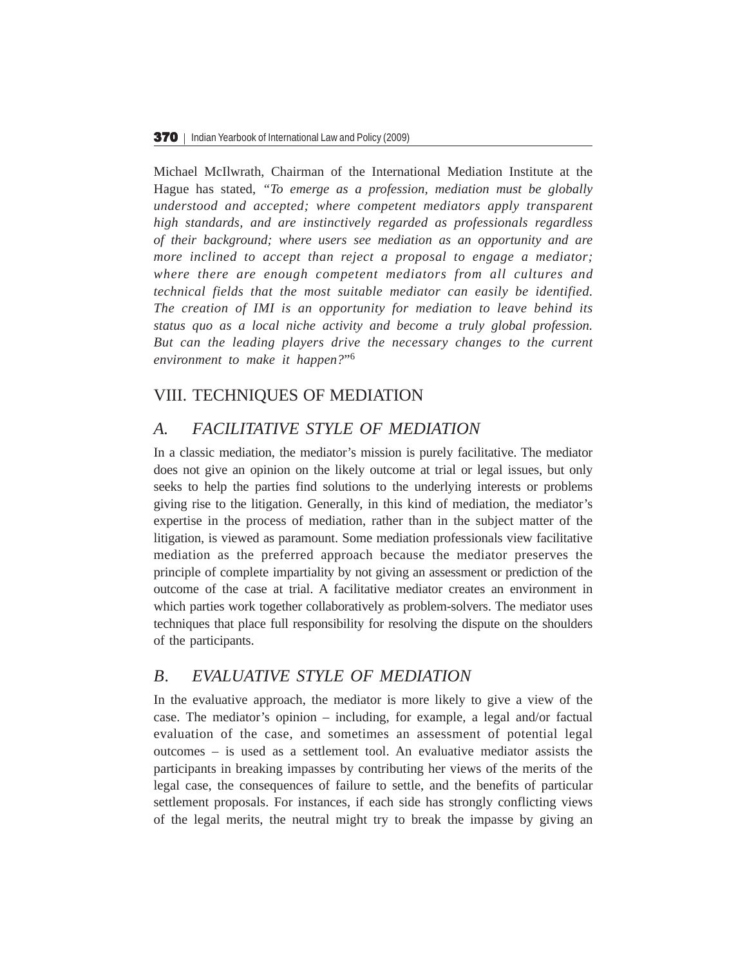Michael McIlwrath, Chairman of the International Mediation Institute at the Hague has stated, *"To emerge as a profession, mediation must be globally understood and accepted; where competent mediators apply transparent high standards, and are instinctively regarded as professionals regardless of their background; where users see mediation as an opportunity and are more inclined to accept than reject a proposal to engage a mediator; where there are enough competent mediators from all cultures and technical fields that the most suitable mediator can easily be identified. The creation of IMI is an opportunity for mediation to leave behind its status quo as a local niche activity and become a truly global profession. But can the leading players drive the necessary changes to the current environment to make it happen?*"6

# VIII. TECHNIQUES OF MEDIATION

## *A. FACILITATIVE STYLE OF MEDIATION*

In a classic mediation, the mediator's mission is purely facilitative. The mediator does not give an opinion on the likely outcome at trial or legal issues, but only seeks to help the parties find solutions to the underlying interests or problems giving rise to the litigation. Generally, in this kind of mediation, the mediator's expertise in the process of mediation, rather than in the subject matter of the litigation, is viewed as paramount. Some mediation professionals view facilitative mediation as the preferred approach because the mediator preserves the principle of complete impartiality by not giving an assessment or prediction of the outcome of the case at trial. A facilitative mediator creates an environment in which parties work together collaboratively as problem-solvers. The mediator uses techniques that place full responsibility for resolving the dispute on the shoulders of the participants.

## *B. EVALUATIVE STYLE OF MEDIATION*

In the evaluative approach, the mediator is more likely to give a view of the case. The mediator's opinion – including, for example, a legal and/or factual evaluation of the case, and sometimes an assessment of potential legal outcomes – is used as a settlement tool. An evaluative mediator assists the participants in breaking impasses by contributing her views of the merits of the legal case, the consequences of failure to settle, and the benefits of particular settlement proposals. For instances, if each side has strongly conflicting views of the legal merits, the neutral might try to break the impasse by giving an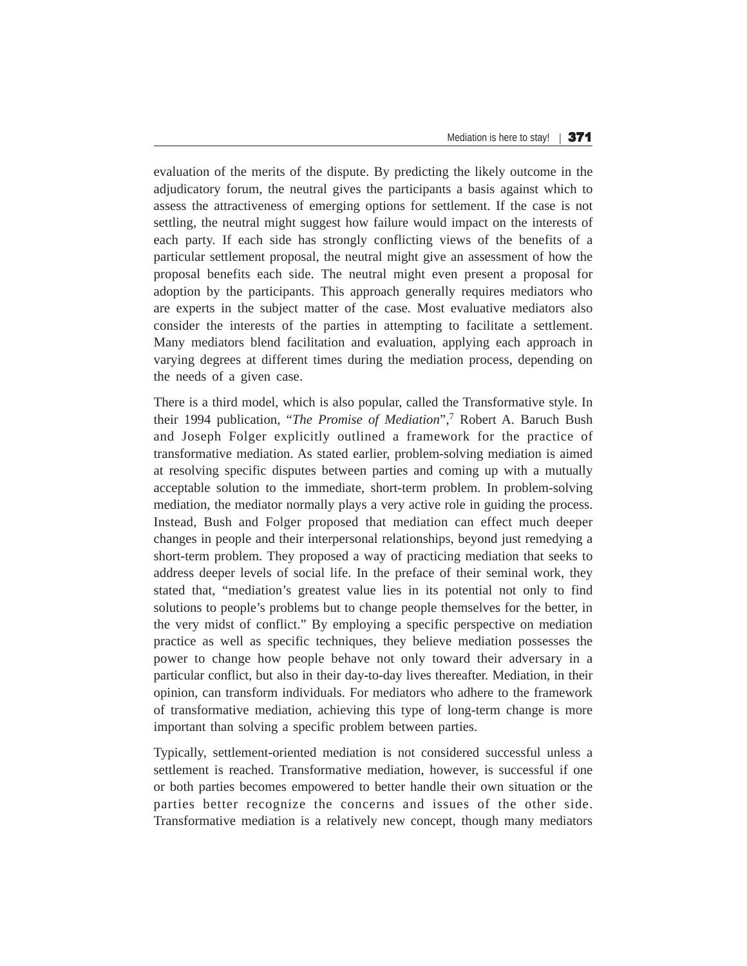evaluation of the merits of the dispute. By predicting the likely outcome in the adjudicatory forum, the neutral gives the participants a basis against which to assess the attractiveness of emerging options for settlement. If the case is not settling, the neutral might suggest how failure would impact on the interests of each party. If each side has strongly conflicting views of the benefits of a particular settlement proposal, the neutral might give an assessment of how the proposal benefits each side. The neutral might even present a proposal for adoption by the participants. This approach generally requires mediators who are experts in the subject matter of the case. Most evaluative mediators also consider the interests of the parties in attempting to facilitate a settlement. Many mediators blend facilitation and evaluation, applying each approach in varying degrees at different times during the mediation process, depending on the needs of a given case.

There is a third model, which is also popular, called the Transformative style. In their 1994 publication, "*The Promise of Mediation*",7 Robert A. Baruch Bush and Joseph Folger explicitly outlined a framework for the practice of transformative mediation. As stated earlier, problem-solving mediation is aimed at resolving specific disputes between parties and coming up with a mutually acceptable solution to the immediate, short-term problem. In problem-solving mediation, the mediator normally plays a very active role in guiding the process. Instead, Bush and Folger proposed that mediation can effect much deeper changes in people and their interpersonal relationships, beyond just remedying a short-term problem. They proposed a way of practicing mediation that seeks to address deeper levels of social life. In the preface of their seminal work, they stated that, "mediation's greatest value lies in its potential not only to find solutions to people's problems but to change people themselves for the better, in the very midst of conflict." By employing a specific perspective on mediation practice as well as specific techniques, they believe mediation possesses the power to change how people behave not only toward their adversary in a particular conflict, but also in their day-to-day lives thereafter. Mediation, in their opinion, can transform individuals. For mediators who adhere to the framework of transformative mediation, achieving this type of long-term change is more important than solving a specific problem between parties.

Typically, settlement-oriented mediation is not considered successful unless a settlement is reached. Transformative mediation, however, is successful if one or both parties becomes empowered to better handle their own situation or the parties better recognize the concerns and issues of the other side. Transformative mediation is a relatively new concept, though many mediators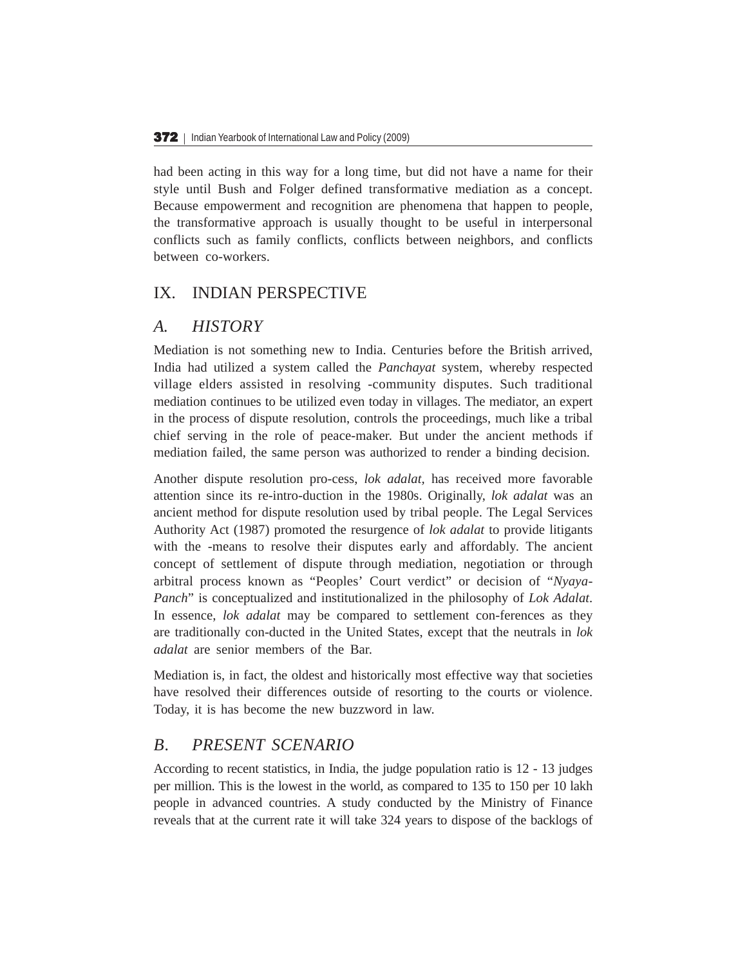had been acting in this way for a long time, but did not have a name for their style until Bush and Folger defined transformative mediation as a concept. Because empowerment and recognition are phenomena that happen to people, the transformative approach is usually thought to be useful in interpersonal conflicts such as family conflicts, conflicts between neighbors, and conflicts between co-workers.

### IX. INDIAN PERSPECTIVE

### *A. HISTORY*

Mediation is not something new to India. Centuries before the British arrived, India had utilized a system called the *Panchayat* system, whereby respected village elders assisted in resolving -community disputes. Such traditional mediation continues to be utilized even today in villages. The mediator, an expert in the process of dispute resolution, controls the proceedings, much like a tribal chief serving in the role of peace-maker. But under the ancient methods if mediation failed, the same person was authorized to render a binding decision.

Another dispute resolution pro-cess, *lok adalat,* has received more favorable attention since its re-intro-duction in the 1980s. Originally, *lok adalat* was an ancient method for dispute resolution used by tribal people. The Legal Services Authority Act (1987) promoted the resurgence of *lok adalat* to provide litigants with the -means to resolve their disputes early and affordably. The ancient concept of settlement of dispute through mediation, negotiation or through arbitral process known as "Peoples' Court verdict" or decision of "*Nyaya-Panch*" is conceptualized and institutionalized in the philosophy of *Lok Adalat*. In essence, *lok adalat* may be compared to settlement con-ferences as they are traditionally con-ducted in the United States, except that the neutrals in *lok adalat* are senior members of the Bar.

Mediation is, in fact, the oldest and historically most effective way that societies have resolved their differences outside of resorting to the courts or violence. Today, it is has become the new buzzword in law.

### *B. PRESENT SCENARIO*

According to recent statistics, in India, the judge population ratio is 12 - 13 judges per million. This is the lowest in the world, as compared to 135 to 150 per 10 lakh people in advanced countries. A study conducted by the Ministry of Finance reveals that at the current rate it will take 324 years to dispose of the backlogs of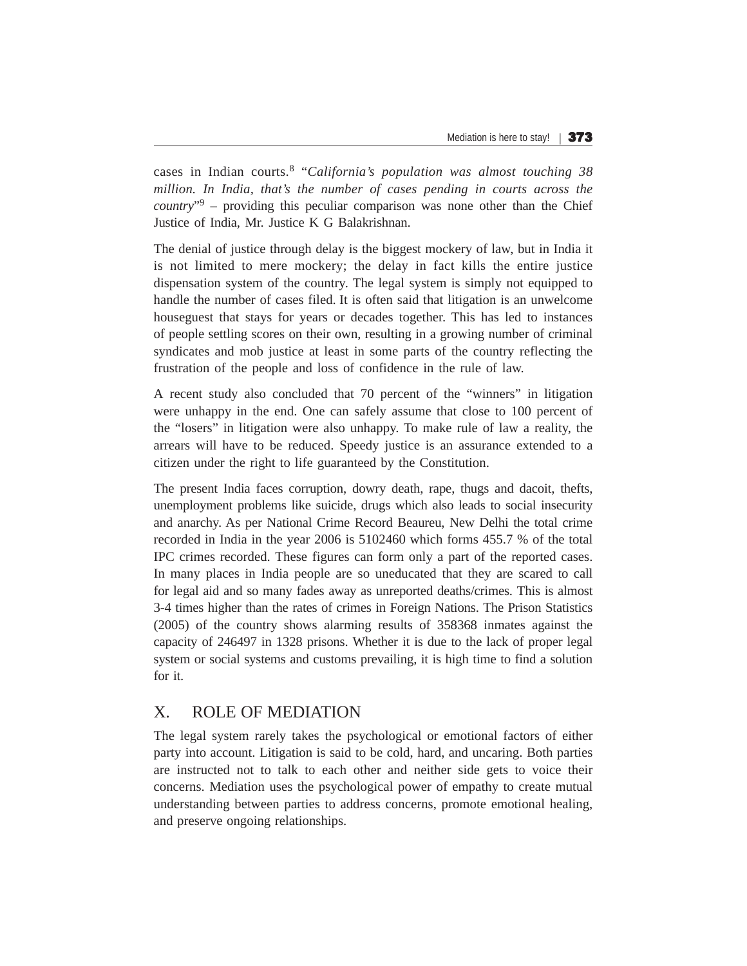cases in Indian courts.8 "*California's population was almost touching 38 million. In India, that's the number of cases pending in courts across the country*"9 – providing this peculiar comparison was none other than the Chief Justice of India, Mr. Justice K G Balakrishnan.

The denial of justice through delay is the biggest mockery of law, but in India it is not limited to mere mockery; the delay in fact kills the entire justice dispensation system of the country. The legal system is simply not equipped to handle the number of cases filed. It is often said that litigation is an unwelcome houseguest that stays for years or decades together. This has led to instances of people settling scores on their own, resulting in a growing number of criminal syndicates and mob justice at least in some parts of the country reflecting the frustration of the people and loss of confidence in the rule of law.

A recent study also concluded that 70 percent of the "winners" in litigation were unhappy in the end. One can safely assume that close to 100 percent of the "losers" in litigation were also unhappy. To make rule of law a reality, the arrears will have to be reduced. Speedy justice is an assurance extended to a citizen under the right to life guaranteed by the Constitution.

The present India faces corruption, dowry death, rape, thugs and dacoit, thefts, unemployment problems like suicide, drugs which also leads to social insecurity and anarchy. As per National Crime Record Beaureu, New Delhi the total crime recorded in India in the year 2006 is 5102460 which forms 455.7 % of the total IPC crimes recorded. These figures can form only a part of the reported cases. In many places in India people are so uneducated that they are scared to call for legal aid and so many fades away as unreported deaths/crimes. This is almost 3-4 times higher than the rates of crimes in Foreign Nations. The Prison Statistics (2005) of the country shows alarming results of 358368 inmates against the capacity of 246497 in 1328 prisons. Whether it is due to the lack of proper legal system or social systems and customs prevailing, it is high time to find a solution for it.

# X. ROLE OF MEDIATION

The legal system rarely takes the psychological or emotional factors of either party into account. Litigation is said to be cold, hard, and uncaring. Both parties are instructed not to talk to each other and neither side gets to voice their concerns. Mediation uses the psychological power of empathy to create mutual understanding between parties to address concerns, promote emotional healing, and preserve ongoing relationships.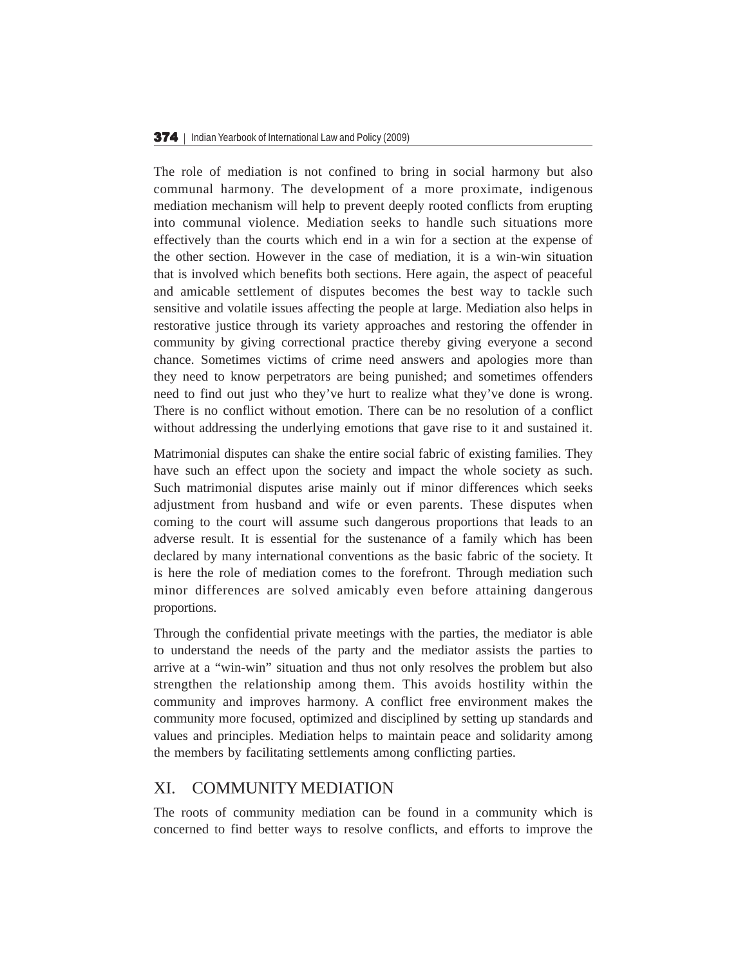The role of mediation is not confined to bring in social harmony but also communal harmony. The development of a more proximate, indigenous mediation mechanism will help to prevent deeply rooted conflicts from erupting into communal violence. Mediation seeks to handle such situations more effectively than the courts which end in a win for a section at the expense of the other section. However in the case of mediation, it is a win-win situation that is involved which benefits both sections. Here again, the aspect of peaceful and amicable settlement of disputes becomes the best way to tackle such sensitive and volatile issues affecting the people at large. Mediation also helps in restorative justice through its variety approaches and restoring the offender in community by giving correctional practice thereby giving everyone a second chance. Sometimes victims of crime need answers and apologies more than they need to know perpetrators are being punished; and sometimes offenders need to find out just who they've hurt to realize what they've done is wrong. There is no conflict without emotion. There can be no resolution of a conflict without addressing the underlying emotions that gave rise to it and sustained it.

Matrimonial disputes can shake the entire social fabric of existing families. They have such an effect upon the society and impact the whole society as such. Such matrimonial disputes arise mainly out if minor differences which seeks adjustment from husband and wife or even parents. These disputes when coming to the court will assume such dangerous proportions that leads to an adverse result. It is essential for the sustenance of a family which has been declared by many international conventions as the basic fabric of the society. It is here the role of mediation comes to the forefront. Through mediation such minor differences are solved amicably even before attaining dangerous proportions.

Through the confidential private meetings with the parties, the mediator is able to understand the needs of the party and the mediator assists the parties to arrive at a "win-win" situation and thus not only resolves the problem but also strengthen the relationship among them. This avoids hostility within the community and improves harmony. A conflict free environment makes the community more focused, optimized and disciplined by setting up standards and values and principles. Mediation helps to maintain peace and solidarity among the members by facilitating settlements among conflicting parties.

### XI. COMMUNITY MEDIATION

The roots of community mediation can be found in a community which is concerned to find better ways to resolve conflicts, and efforts to improve the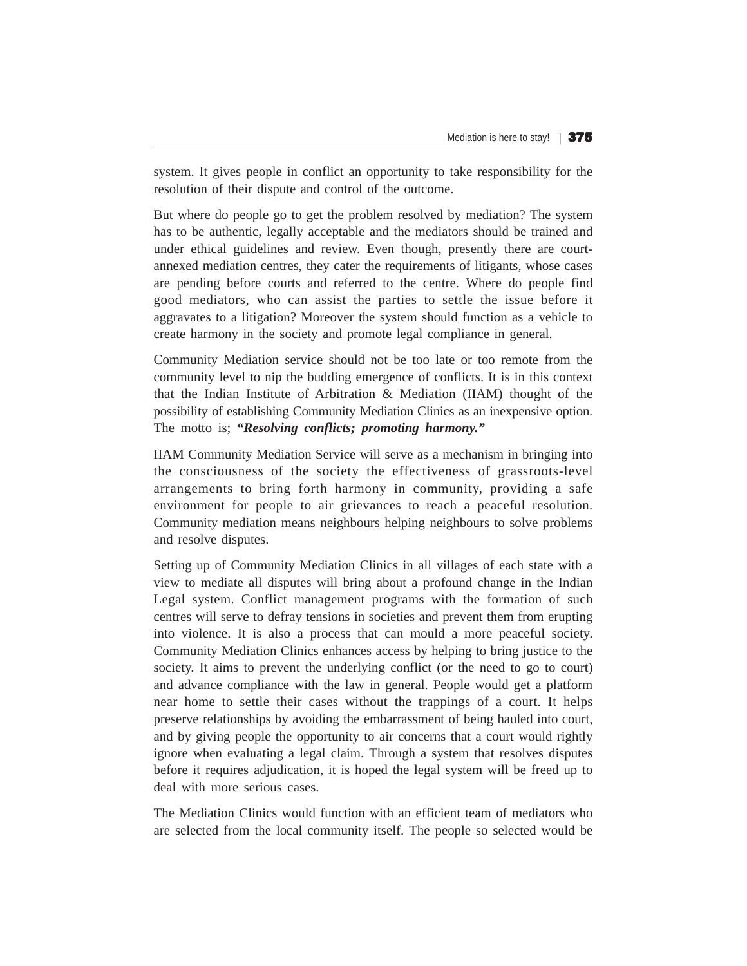system. It gives people in conflict an opportunity to take responsibility for the resolution of their dispute and control of the outcome.

But where do people go to get the problem resolved by mediation? The system has to be authentic, legally acceptable and the mediators should be trained and under ethical guidelines and review. Even though, presently there are courtannexed mediation centres, they cater the requirements of litigants, whose cases are pending before courts and referred to the centre. Where do people find good mediators, who can assist the parties to settle the issue before it aggravates to a litigation? Moreover the system should function as a vehicle to create harmony in the society and promote legal compliance in general.

Community Mediation service should not be too late or too remote from the community level to nip the budding emergence of conflicts. It is in this context that the Indian Institute of Arbitration & Mediation (IIAM) thought of the possibility of establishing Community Mediation Clinics as an inexpensive option. The motto is; *"Resolving conflicts; promoting harmony."*

IIAM Community Mediation Service will serve as a mechanism in bringing into the consciousness of the society the effectiveness of grassroots-level arrangements to bring forth harmony in community, providing a safe environment for people to air grievances to reach a peaceful resolution. Community mediation means neighbours helping neighbours to solve problems and resolve disputes.

Setting up of Community Mediation Clinics in all villages of each state with a view to mediate all disputes will bring about a profound change in the Indian Legal system. Conflict management programs with the formation of such centres will serve to defray tensions in societies and prevent them from erupting into violence. It is also a process that can mould a more peaceful society. Community Mediation Clinics enhances access by helping to bring justice to the society. It aims to prevent the underlying conflict (or the need to go to court) and advance compliance with the law in general. People would get a platform near home to settle their cases without the trappings of a court. It helps preserve relationships by avoiding the embarrassment of being hauled into court, and by giving people the opportunity to air concerns that a court would rightly ignore when evaluating a legal claim. Through a system that resolves disputes before it requires adjudication, it is hoped the legal system will be freed up to deal with more serious cases.

The Mediation Clinics would function with an efficient team of mediators who are selected from the local community itself. The people so selected would be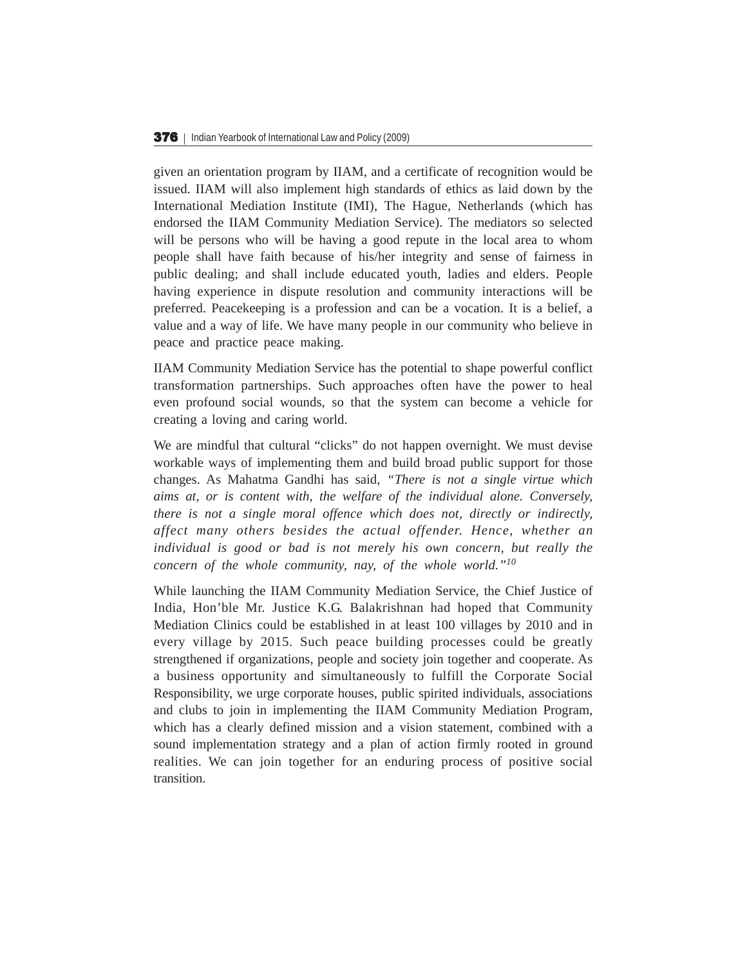given an orientation program by IIAM, and a certificate of recognition would be issued. IIAM will also implement high standards of ethics as laid down by the International Mediation Institute (IMI), The Hague, Netherlands (which has endorsed the IIAM Community Mediation Service). The mediators so selected will be persons who will be having a good repute in the local area to whom people shall have faith because of his/her integrity and sense of fairness in public dealing; and shall include educated youth, ladies and elders. People having experience in dispute resolution and community interactions will be preferred. Peacekeeping is a profession and can be a vocation. It is a belief, a value and a way of life. We have many people in our community who believe in peace and practice peace making.

IIAM Community Mediation Service has the potential to shape powerful conflict transformation partnerships. Such approaches often have the power to heal even profound social wounds, so that the system can become a vehicle for creating a loving and caring world.

We are mindful that cultural "clicks" do not happen overnight. We must devise workable ways of implementing them and build broad public support for those changes. As Mahatma Gandhi has said, *"There is not a single virtue which aims at, or is content with, the welfare of the individual alone. Conversely, there is not a single moral offence which does not, directly or indirectly, affect many others besides the actual offender. Hence, whether an individual is good or bad is not merely his own concern, but really the concern of the whole community, nay, of the whole world."<sup>10</sup>*

While launching the IIAM Community Mediation Service, the Chief Justice of India, Hon'ble Mr. Justice K.G. Balakrishnan had hoped that Community Mediation Clinics could be established in at least 100 villages by 2010 and in every village by 2015. Such peace building processes could be greatly strengthened if organizations, people and society join together and cooperate. As a business opportunity and simultaneously to fulfill the Corporate Social Responsibility, we urge corporate houses, public spirited individuals, associations and clubs to join in implementing the IIAM Community Mediation Program, which has a clearly defined mission and a vision statement, combined with a sound implementation strategy and a plan of action firmly rooted in ground realities. We can join together for an enduring process of positive social transition.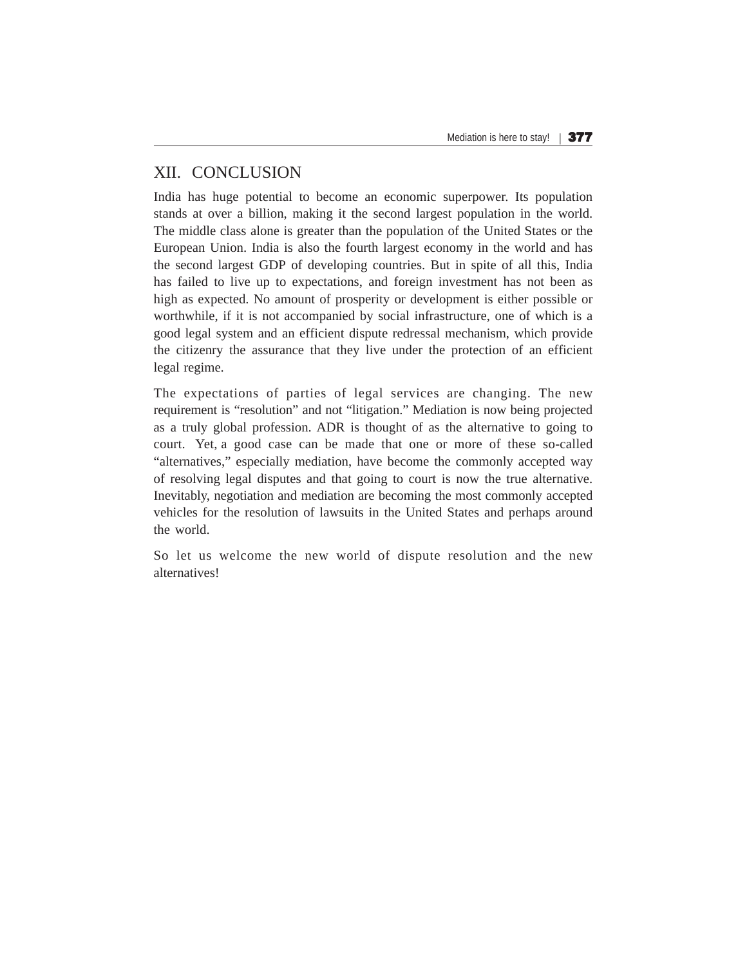# XII. CONCLUSION

India has huge potential to become an economic superpower. Its population stands at over a billion, making it the second largest population in the world. The middle class alone is greater than the population of the United States or the European Union. India is also the fourth largest economy in the world and has the second largest GDP of developing countries. But in spite of all this, India has failed to live up to expectations, and foreign investment has not been as high as expected. No amount of prosperity or development is either possible or worthwhile, if it is not accompanied by social infrastructure, one of which is a good legal system and an efficient dispute redressal mechanism, which provide the citizenry the assurance that they live under the protection of an efficient legal regime.

The expectations of parties of legal services are changing. The new requirement is "resolution" and not "litigation." Mediation is now being projected as a truly global profession. ADR is thought of as the alternative to going to court. Yet, a good case can be made that one or more of these so-called "alternatives," especially mediation, have become the commonly accepted way of resolving legal disputes and that going to court is now the true alternative. Inevitably, negotiation and mediation are becoming the most commonly accepted vehicles for the resolution of lawsuits in the United States and perhaps around the world.

So let us welcome the new world of dispute resolution and the new alternatives!